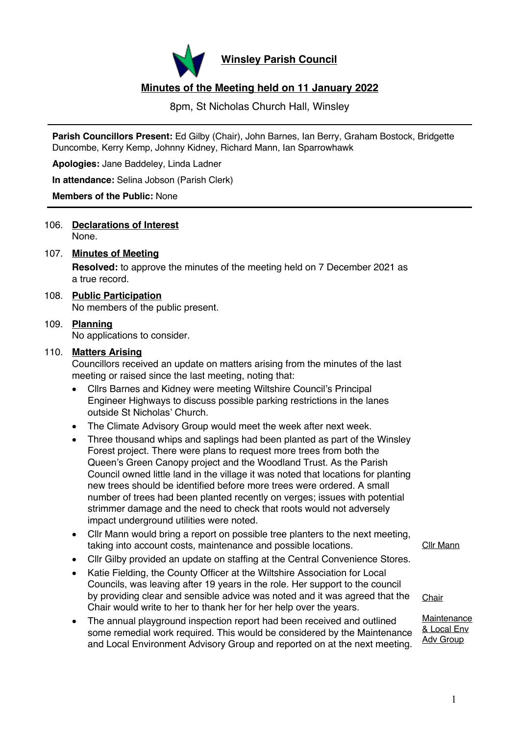

**Winsley Parish Council**

# **Minutes of the Meeting held on 11 January 2022**

8pm, St Nicholas Church Hall, Winsley

**Parish Councillors Present:** Ed Gilby (Chair), John Barnes, Ian Berry, Graham Bostock, Bridgette Duncombe, Kerry Kemp, Johnny Kidney, Richard Mann, Ian Sparrowhawk

**Apologies:** Jane Baddeley, Linda Ladner

**In attendance:** Selina Jobson (Parish Clerk)

#### **Members of the Public:** None

106. **Declarations of Interest** None.

## 107. **Minutes of Meeting**

**Resolved:** to approve the minutes of the meeting held on 7 December 2021 as a true record.

### 108. **Public Participation**

No members of the public present.

## 109. **Planning**

No applications to consider.

#### 110. **Matters Arising**

Councillors received an update on matters arising from the minutes of the last meeting or raised since the last meeting, noting that:

- Cllrs Barnes and Kidney were meeting Wiltshire Council's Principal Engineer Highways to discuss possible parking restrictions in the lanes outside St Nicholas' Church.
- The Climate Advisory Group would meet the week after next week.
- Three thousand whips and saplings had been planted as part of the Winsley Forest project. There were plans to request more trees from both the Queen's Green Canopy project and the Woodland Trust. As the Parish Council owned little land in the village it was noted that locations for planting new trees should be identified before more trees were ordered. A small number of trees had been planted recently on verges; issues with potential strimmer damage and the need to check that roots would not adversely impact underground utilities were noted.
- Cllr Mann would bring a report on possible tree planters to the next meeting, taking into account costs, maintenance and possible locations.
- Cllr Gilby provided an update on staffing at the Central Convenience Stores.
- Katie Fielding, the County Officer at the Wiltshire Association for Local Councils, was leaving after 19 years in the role. Her support to the council by providing clear and sensible advice was noted and it was agreed that the Chair would write to her to thank her for her help over the years.
- The annual playground inspection report had been received and outlined some remedial work required. This would be considered by the Maintenance and Local Environment Advisory Group and reported on at the next meeting.

Cllr Mann

**Chair** 

#### Maintenance & Local Env Adv Group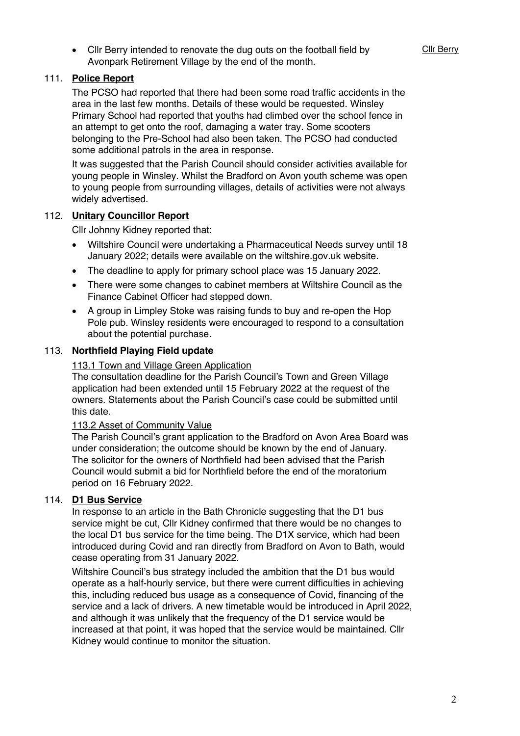• Cllr Berry intended to renovate the dug outs on the football field by Avonpark Retirement Village by the end of the month.

## 111. **Police Report**

The PCSO had reported that there had been some road traffic accidents in the area in the last few months. Details of these would be requested. Winsley Primary School had reported that youths had climbed over the school fence in an attempt to get onto the roof, damaging a water tray. Some scooters belonging to the Pre-School had also been taken. The PCSO had conducted some additional patrols in the area in response.

It was suggested that the Parish Council should consider activities available for young people in Winsley. Whilst the Bradford on Avon youth scheme was open to young people from surrounding villages, details of activities were not always widely advertised.

### 112. **Unitary Councillor Report**

Cllr Johnny Kidney reported that:

- Wiltshire Council were undertaking a Pharmaceutical Needs survey until 18 January 2022; details were available on the wiltshire.gov.uk website.
- The deadline to apply for primary school place was 15 January 2022.
- There were some changes to cabinet members at Wiltshire Council as the Finance Cabinet Officer had stepped down.
- A group in Limpley Stoke was raising funds to buy and re-open the Hop Pole pub. Winsley residents were encouraged to respond to a consultation about the potential purchase.

#### 113. **Northfield Playing Field update**

#### 113.1 Town and Village Green Application

The consultation deadline for the Parish Council's Town and Green Village application had been extended until 15 February 2022 at the request of the owners. Statements about the Parish Council's case could be submitted until this date.

### 113.2 Asset of Community Value

The Parish Council's grant application to the Bradford on Avon Area Board was under consideration; the outcome should be known by the end of January. The solicitor for the owners of Northfield had been advised that the Parish Council would submit a bid for Northfield before the end of the moratorium period on 16 February 2022.

## 114. **D1 Bus Service**

In response to an article in the Bath Chronicle suggesting that the D1 bus service might be cut, Cllr Kidney confirmed that there would be no changes to the local D1 bus service for the time being. The D1X service, which had been introduced during Covid and ran directly from Bradford on Avon to Bath, would cease operating from 31 January 2022.

Wiltshire Council's bus strategy included the ambition that the D1 bus would operate as a half-hourly service, but there were current difficulties in achieving this, including reduced bus usage as a consequence of Covid, financing of the service and a lack of drivers. A new timetable would be introduced in April 2022, and although it was unlikely that the frequency of the D1 service would be increased at that point, it was hoped that the service would be maintained. Cllr Kidney would continue to monitor the situation.